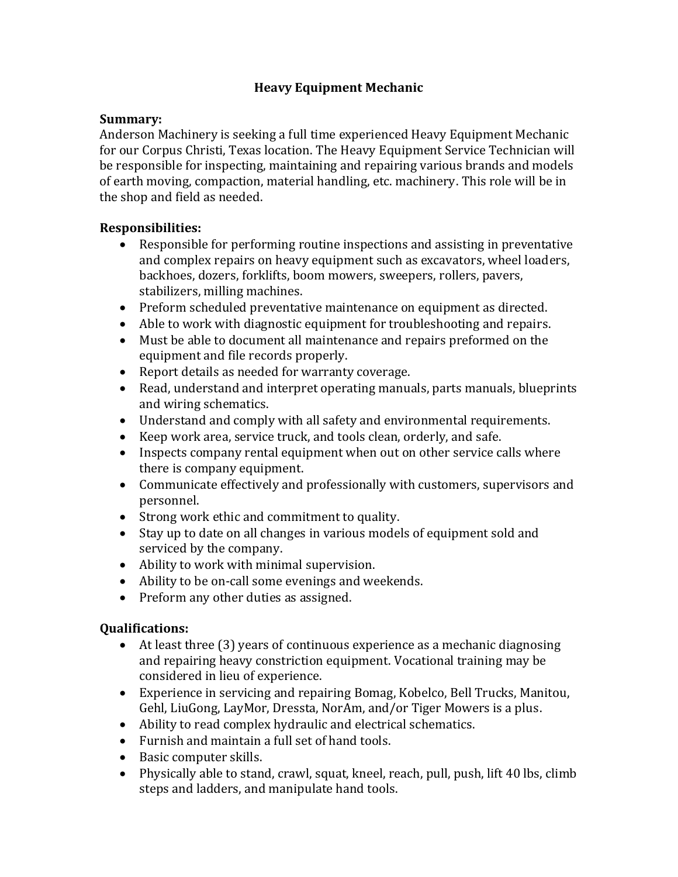## **Heavy Equipment Mechanic**

## **Summary:**

Anderson Machinery is seeking a full time experienced Heavy Equipment Mechanic for our Corpus Christi, Texas location. The Heavy Equipment Service Technician will be responsible for inspecting, maintaining and repairing various brands and models of earth moving, compaction, material handling, etc. machinery. This role will be in the shop and field as needed.

## **Responsibilities:**

- Responsible for performing routine inspections and assisting in preventative and complex repairs on heavy equipment such as excavators, wheel loaders, backhoes, dozers, forklifts, boom mowers, sweepers, rollers, pavers, stabilizers, milling machines.
- Preform scheduled preventative maintenance on equipment as directed.
- Able to work with diagnostic equipment for troubleshooting and repairs.
- Must be able to document all maintenance and repairs preformed on the equipment and file records properly.
- Report details as needed for warranty coverage.
- Read, understand and interpret operating manuals, parts manuals, blueprints and wiring schematics.
- Understand and comply with all safety and environmental requirements.
- Keep work area, service truck, and tools clean, orderly, and safe.
- Inspects company rental equipment when out on other service calls where there is company equipment.
- Communicate effectively and professionally with customers, supervisors and personnel.
- Strong work ethic and commitment to quality.
- Stay up to date on all changes in various models of equipment sold and serviced by the company.
- Ability to work with minimal supervision.
- Ability to be on-call some evenings and weekends.
- Preform any other duties as assigned.

## **Qualifications:**

- At least three (3) years of continuous experience as a mechanic diagnosing and repairing heavy constriction equipment. Vocational training may be considered in lieu of experience.
- Experience in servicing and repairing Bomag, Kobelco, Bell Trucks, Manitou, Gehl, LiuGong, LayMor, Dressta, NorAm, and/or Tiger Mowers is a plus.
- Ability to read complex hydraulic and electrical schematics.
- Furnish and maintain a full set of hand tools.
- Basic computer skills.
- Physically able to stand, crawl, squat, kneel, reach, pull, push, lift 40 lbs, climb steps and ladders, and manipulate hand tools.